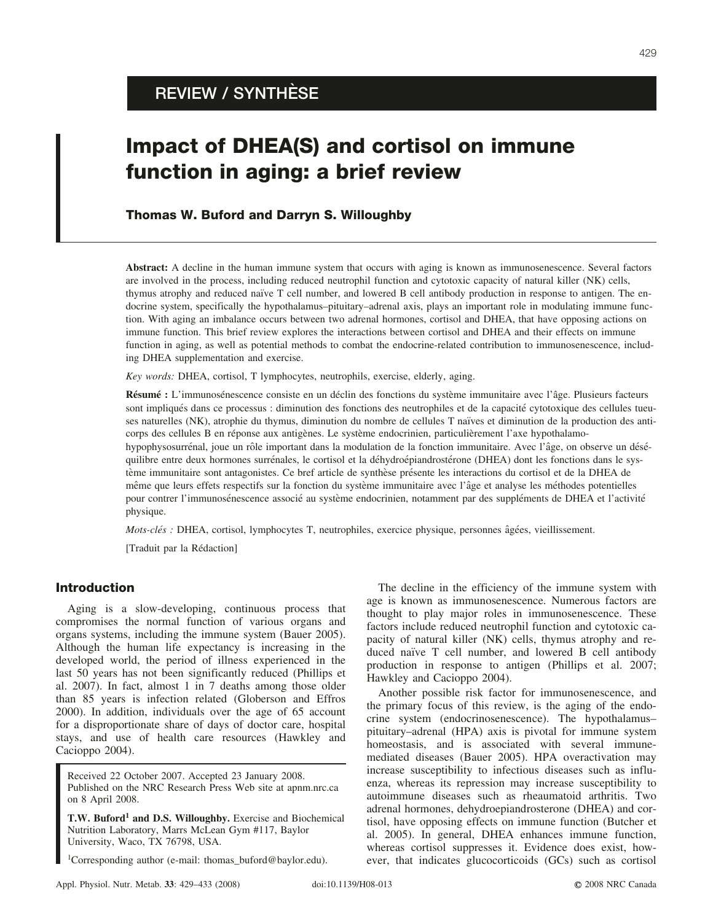# **REVIEW / SYNTHE` SE**

# **Impact of DHEA(S) and cortisol on immune function in aging: a brief review**

### **Thomas W. Buford and Darryn S. Willoughby**

**Abstract:** A decline in the human immune system that occurs with aging is known as immunosenescence. Several factors are involved in the process, including reduced neutrophil function and cytotoxic capacity of natural killer (NK) cells, thymus atrophy and reduced naïve T cell number, and lowered B cell antibody production in response to antigen. The endocrine system, specifically the hypothalamus–pituitary–adrenal axis, plays an important role in modulating immune function. With aging an imbalance occurs between two adrenal hormones, cortisol and DHEA, that have opposing actions on immune function. This brief review explores the interactions between cortisol and DHEA and their effects on immune function in aging, as well as potential methods to combat the endocrine-related contribution to immunosenescence, including DHEA supplementation and exercise.

*Key words:* DHEA, cortisol, T lymphocytes, neutrophils, exercise, elderly, aging.

Résumé : L'immunosénescence consiste en un déclin des fonctions du système immunitaire avec l'âge. Plusieurs facteurs sont impliqués dans ce processus : diminution des fonctions des neutrophiles et de la capacité cytotoxique des cellules tueuses naturelles (NK), atrophie du thymus, diminution du nombre de cellules T naïves et diminution de la production des anticorps des cellules B en réponse aux antigènes. Le système endocrinien, particulièrement l'axe hypothalamohypophysosurrénal, joue un rôle important dans la modulation de la fonction immunitaire. Avec l'âge, on observe un déséquilibre entre deux hormones surrénales, le cortisol et la déhydroépiandrostérone (DHEA) dont les fonctions dans le système immunitaire sont antagonistes. Ce bref article de synthèse présente les interactions du cortisol et de la DHEA de même que leurs effets respectifs sur la fonction du système immunitaire avec l'âge et analyse les méthodes potentielles pour contrer l'immunosénescence associé au système endocrinien, notamment par des suppléments de DHEA et l'activité physique.

*Mots-clés :* DHEA, cortisol, lymphocytes T, neutrophiles, exercice physique, personnes âgées, vieillissement.

[Traduit par la Rédaction]

## **Introduction**

Aging is a slow-developing, continuous process that compromises the normal function of various organs and organs systems, including the immune system (Bauer 2005). Although the human life expectancy is increasing in the developed world, the period of illness experienced in the last 50 years has not been significantly reduced (Phillips et al. 2007). In fact, almost 1 in 7 deaths among those older than 85 years is infection related (Globerson and Effros 2000). In addition, individuals over the age of 65 account for a disproportionate share of days of doctor care, hospital stays, and use of health care resources (Hawkley and Cacioppo 2004).

Received 22 October 2007. Accepted 23 January 2008. Published on the NRC Research Press Web site at apnm.nrc.ca on 8 April 2008.

**T.W. Buford1 and D.S. Willoughby.** Exercise and Biochemical Nutrition Laboratory, Marrs McLean Gym #117, Baylor University, Waco, TX 76798, USA.

<sup>1</sup>Corresponding author (e-mail: thomas\_buford@baylor.edu).

The decline in the efficiency of the immune system with age is known as immunosenescence. Numerous factors are thought to play major roles in immunosenescence. These factors include reduced neutrophil function and cytotoxic capacity of natural killer (NK) cells, thymus atrophy and reduced naïve T cell number, and lowered B cell antibody production in response to antigen (Phillips et al. 2007; Hawkley and Cacioppo 2004).

Another possible risk factor for immunosenescence, and the primary focus of this review, is the aging of the endocrine system (endocrinosenescence). The hypothalamus– pituitary–adrenal (HPA) axis is pivotal for immune system homeostasis, and is associated with several immunemediated diseases (Bauer 2005). HPA overactivation may increase susceptibility to infectious diseases such as influenza, whereas its repression may increase susceptibility to autoimmune diseases such as rheaumatoid arthritis. Two adrenal hormones, dehydroepiandrosterone (DHEA) and cortisol, have opposing effects on immune function (Butcher et al. 2005). In general, DHEA enhances immune function, whereas cortisol suppresses it. Evidence does exist, however, that indicates glucocorticoids (GCs) such as cortisol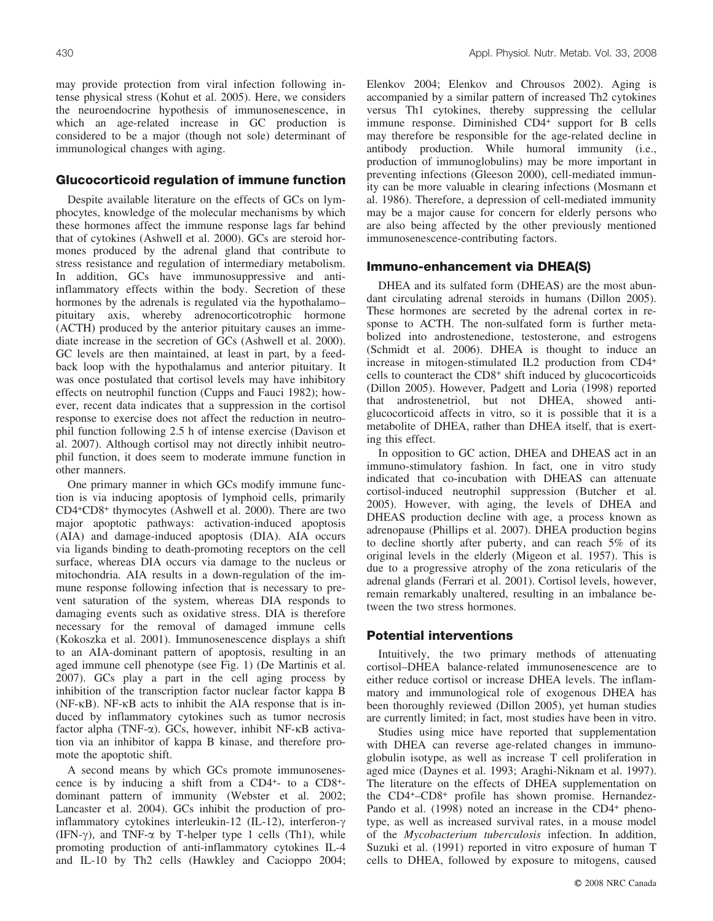### **Glucocorticoid regulation of immune function**

Despite available literature on the effects of GCs on lymphocytes, knowledge of the molecular mechanisms by which these hormones affect the immune response lags far behind that of cytokines (Ashwell et al. 2000). GCs are steroid hormones produced by the adrenal gland that contribute to stress resistance and regulation of intermediary metabolism. In addition, GCs have immunosuppressive and antiinflammatory effects within the body. Secretion of these hormones by the adrenals is regulated via the hypothalamo– pituitary axis, whereby adrenocorticotrophic hormone (ACTH) produced by the anterior pituitary causes an immediate increase in the secretion of GCs (Ashwell et al. 2000). GC levels are then maintained, at least in part, by a feedback loop with the hypothalamus and anterior pituitary. It was once postulated that cortisol levels may have inhibitory effects on neutrophil function (Cupps and Fauci 1982); however, recent data indicates that a suppression in the cortisol response to exercise does not affect the reduction in neutrophil function following 2.5 h of intense exercise (Davison et al. 2007). Although cortisol may not directly inhibit neutrophil function, it does seem to moderate immune function in other manners.

One primary manner in which GCs modify immune function is via inducing apoptosis of lymphoid cells, primarily CD4+CD8+ thymocytes (Ashwell et al. 2000). There are two major apoptotic pathways: activation-induced apoptosis (AIA) and damage-induced apoptosis (DIA). AIA occurs via ligands binding to death-promoting receptors on the cell surface, whereas DIA occurs via damage to the nucleus or mitochondria. AIA results in a down-regulation of the immune response following infection that is necessary to prevent saturation of the system, whereas DIA responds to damaging events such as oxidative stress. DIA is therefore necessary for the removal of damaged immune cells (Kokoszka et al. 2001). Immunosenescence displays a shift to an AIA-dominant pattern of apoptosis, resulting in an aged immune cell phenotype (see Fig. 1) (De Martinis et al. 2007). GCs play a part in the cell aging process by inhibition of the transcription factor nuclear factor kappa B (NF-kB). NF-kB acts to inhibit the AIA response that is induced by inflammatory cytokines such as tumor necrosis factor alpha (TNF- $\alpha$ ). GCs, however, inhibit NF- $\kappa$ B activation via an inhibitor of kappa B kinase, and therefore promote the apoptotic shift.

A second means by which GCs promote immunosenescence is by inducing a shift from a CD4+- to a CD8+ dominant pattern of immunity (Webster et al. 2002; Lancaster et al. 2004). GCs inhibit the production of proinflammatory cytokines interleukin-12 (IL-12), interferon- $\gamma$ (IFN- $\gamma$ ), and TNF- $\alpha$  by T-helper type 1 cells (Th1), while promoting production of anti-inflammatory cytokines IL-4 and IL-10 by Th2 cells (Hawkley and Cacioppo 2004; Elenkov 2004; Elenkov and Chrousos 2002). Aging is accompanied by a similar pattern of increased Th2 cytokines versus Th1 cytokines, thereby suppressing the cellular immune response. Diminished CD4<sup>+</sup> support for B cells may therefore be responsible for the age-related decline in antibody production. While humoral immunity (i.e., production of immunoglobulins) may be more important in preventing infections (Gleeson 2000), cell-mediated immunity can be more valuable in clearing infections (Mosmann et al. 1986). Therefore, a depression of cell-mediated immunity may be a major cause for concern for elderly persons who are also being affected by the other previously mentioned immunosenescence-contributing factors.

#### **Immuno-enhancement via DHEA(S)**

DHEA and its sulfated form (DHEAS) are the most abundant circulating adrenal steroids in humans (Dillon 2005). These hormones are secreted by the adrenal cortex in response to ACTH. The non-sulfated form is further metabolized into androstenedione, testosterone, and estrogens (Schmidt et al. 2006). DHEA is thought to induce an increase in mitogen-stimulated IL2 production from CD4+ cells to counteract the CD8+ shift induced by glucocorticoids (Dillon 2005). However, Padgett and Loria (1998) reported that androstenetriol, but not DHEA, showed antiglucocorticoid affects in vitro, so it is possible that it is a metabolite of DHEA, rather than DHEA itself, that is exerting this effect.

In opposition to GC action, DHEA and DHEAS act in an immuno-stimulatory fashion. In fact, one in vitro study indicated that co-incubation with DHEAS can attenuate cortisol-induced neutrophil suppression (Butcher et al. 2005). However, with aging, the levels of DHEA and DHEAS production decline with age, a process known as adrenopause (Phillips et al. 2007). DHEA production begins to decline shortly after puberty, and can reach 5% of its original levels in the elderly (Migeon et al. 1957). This is due to a progressive atrophy of the zona reticularis of the adrenal glands (Ferrari et al. 2001). Cortisol levels, however, remain remarkably unaltered, resulting in an imbalance between the two stress hormones.

## **Potential interventions**

Intuitively, the two primary methods of attenuating cortisol–DHEA balance-related immunosenescence are to either reduce cortisol or increase DHEA levels. The inflammatory and immunological role of exogenous DHEA has been thoroughly reviewed (Dillon 2005), yet human studies are currently limited; in fact, most studies have been in vitro.

Studies using mice have reported that supplementation with DHEA can reverse age-related changes in immunoglobulin isotype, as well as increase T cell proliferation in aged mice (Daynes et al. 1993; Araghi-Niknam et al. 1997). The literature on the effects of DHEA supplementation on the CD4+–CD8+ profile has shown promise. Hernandez-Pando et al. (1998) noted an increase in the CD4<sup>+</sup> phenotype, as well as increased survival rates, in a mouse model of the *Mycobacterium tuberculosis* infection. In addition, Suzuki et al. (1991) reported in vitro exposure of human T cells to DHEA, followed by exposure to mitogens, caused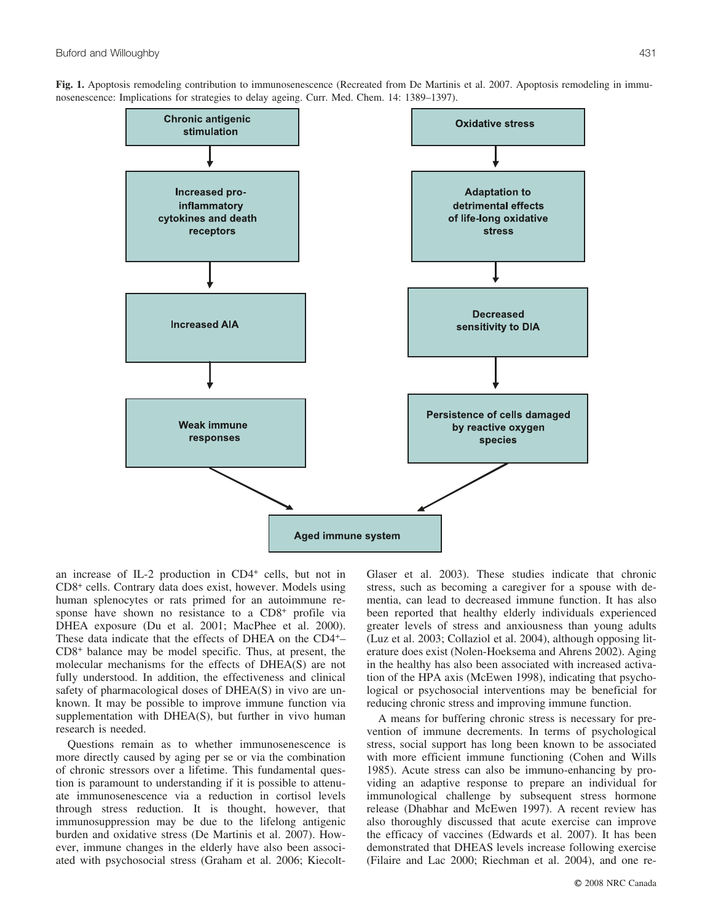**Fig. 1.** Apoptosis remodeling contribution to immunosenescence (Recreated from De Martinis et al. 2007. Apoptosis remodeling in immunosenescence: Implications for strategies to delay ageing. Curr. Med. Chem. 14: 1389–1397).



an increase of IL-2 production in CD4+ cells, but not in CD8+ cells. Contrary data does exist, however. Models using human splenocytes or rats primed for an autoimmune response have shown no resistance to a CD8+ profile via DHEA exposure (Du et al. 2001; MacPhee et al. 2000). These data indicate that the effects of DHEA on the CD4+– CD8+ balance may be model specific. Thus, at present, the molecular mechanisms for the effects of DHEA(S) are not fully understood. In addition, the effectiveness and clinical safety of pharmacological doses of DHEA(S) in vivo are unknown. It may be possible to improve immune function via supplementation with DHEA(S), but further in vivo human research is needed.

Questions remain as to whether immunosenescence is more directly caused by aging per se or via the combination of chronic stressors over a lifetime. This fundamental question is paramount to understanding if it is possible to attenuate immunosenescence via a reduction in cortisol levels through stress reduction. It is thought, however, that immunosuppression may be due to the lifelong antigenic burden and oxidative stress (De Martinis et al. 2007). However, immune changes in the elderly have also been associated with psychosocial stress (Graham et al. 2006; KiecoltGlaser et al. 2003). These studies indicate that chronic stress, such as becoming a caregiver for a spouse with dementia, can lead to decreased immune function. It has also been reported that healthy elderly individuals experienced greater levels of stress and anxiousness than young adults (Luz et al. 2003; Collaziol et al. 2004), although opposing literature does exist (Nolen-Hoeksema and Ahrens 2002). Aging in the healthy has also been associated with increased activation of the HPA axis (McEwen 1998), indicating that psychological or psychosocial interventions may be beneficial for reducing chronic stress and improving immune function.

A means for buffering chronic stress is necessary for prevention of immune decrements. In terms of psychological stress, social support has long been known to be associated with more efficient immune functioning (Cohen and Wills 1985). Acute stress can also be immuno-enhancing by providing an adaptive response to prepare an individual for immunological challenge by subsequent stress hormone release (Dhabhar and McEwen 1997). A recent review has also thoroughly discussed that acute exercise can improve the efficacy of vaccines (Edwards et al. 2007). It has been demonstrated that DHEAS levels increase following exercise (Filaire and Lac 2000; Riechman et al. 2004), and one re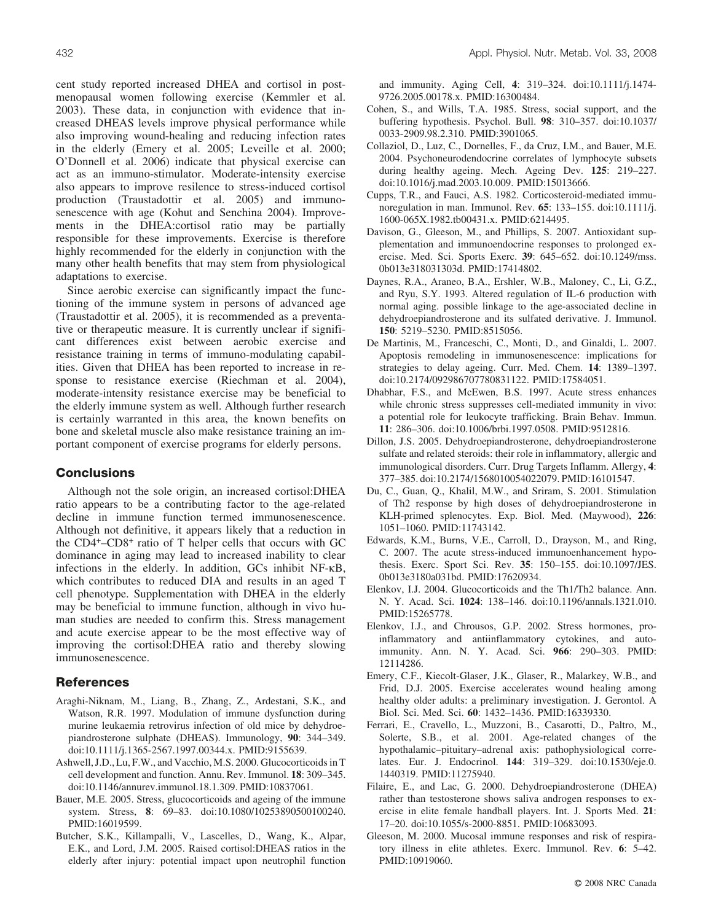cent study reported increased DHEA and cortisol in postmenopausal women following exercise (Kemmler et al. 2003). These data, in conjunction with evidence that increased DHEAS levels improve physical performance while also improving wound-healing and reducing infection rates in the elderly (Emery et al. 2005; Leveille et al. 2000; O'Donnell et al. 2006) indicate that physical exercise can act as an immuno-stimulator. Moderate-intensity exercise also appears to improve resilence to stress-induced cortisol production (Traustadottir et al. 2005) and immunosenescence with age (Kohut and Senchina 2004). Improvements in the DHEA:cortisol ratio may be partially responsible for these improvements. Exercise is therefore highly recommended for the elderly in conjunction with the many other health benefits that may stem from physiological adaptations to exercise.

Since aerobic exercise can significantly impact the functioning of the immune system in persons of advanced age (Traustadottir et al. 2005), it is recommended as a preventative or therapeutic measure. It is currently unclear if significant differences exist between aerobic exercise and resistance training in terms of immuno-modulating capabilities. Given that DHEA has been reported to increase in response to resistance exercise (Riechman et al. 2004), moderate-intensity resistance exercise may be beneficial to the elderly immune system as well. Although further research is certainly warranted in this area, the known benefits on bone and skeletal muscle also make resistance training an important component of exercise programs for elderly persons.

#### **Conclusions**

Although not the sole origin, an increased cortisol:DHEA ratio appears to be a contributing factor to the age-related decline in immune function termed immunosenescence. Although not definitive, it appears likely that a reduction in the CD4+–CD8+ ratio of T helper cells that occurs with GC dominance in aging may lead to increased inability to clear infections in the elderly. In addition, GCs inhibit NF-kB, which contributes to reduced DIA and results in an aged T cell phenotype. Supplementation with DHEA in the elderly may be beneficial to immune function, although in vivo human studies are needed to confirm this. Stress management and acute exercise appear to be the most effective way of improving the cortisol:DHEA ratio and thereby slowing immunosenescence.

#### **References**

- Araghi-Niknam, M., Liang, B., Zhang, Z., Ardestani, S.K., and Watson, R.R. 1997. Modulation of immune dysfunction during murine leukaemia retrovirus infection of old mice by dehydroepiandrosterone sulphate (DHEAS). Immunology, **90**: 344–349. doi:10.1111/j.1365-2567.1997.00344.x. PMID:9155639.
- Ashwell, J.D., Lu, F.W., and Vacchio, M.S. 2000. Glucocorticoids in T cell development and function. Annu. Rev. Immunol. **18**: 309–345. doi:10.1146/annurev.immunol.18.1.309. PMID:10837061.
- Bauer, M.E. 2005. Stress, glucocorticoids and ageing of the immune system. Stress, **8**: 69–83. doi:10.1080/10253890500100240. PMID:16019599.
- Butcher, S.K., Killampalli, V., Lascelles, D., Wang, K., Alpar, E.K., and Lord, J.M. 2005. Raised cortisol:DHEAS ratios in the elderly after injury: potential impact upon neutrophil function

and immunity. Aging Cell, **4**: 319–324. doi:10.1111/j.1474- 9726.2005.00178.x. PMID:16300484.

- Cohen, S., and Wills, T.A. 1985. Stress, social support, and the buffering hypothesis. Psychol. Bull. **98**: 310–357. doi:10.1037/ 0033-2909.98.2.310. PMID:3901065.
- Collaziol, D., Luz, C., Dornelles, F., da Cruz, I.M., and Bauer, M.E. 2004. Psychoneurodendocrine correlates of lymphocyte subsets during healthy ageing. Mech. Ageing Dev. **125**: 219–227. doi:10.1016/j.mad.2003.10.009. PMID:15013666.
- Cupps, T.R., and Fauci, A.S. 1982. Corticosteroid-mediated immunoregulation in man. Immunol. Rev. **65**: 133–155. doi:10.1111/j. 1600-065X.1982.tb00431.x. PMID:6214495.
- Davison, G., Gleeson, M., and Phillips, S. 2007. Antioxidant supplementation and immunoendocrine responses to prolonged exercise. Med. Sci. Sports Exerc. **39**: 645–652. doi:10.1249/mss. 0b013e318031303d. PMID:17414802.
- Daynes, R.A., Araneo, B.A., Ershler, W.B., Maloney, C., Li, G.Z., and Ryu, S.Y. 1993. Altered regulation of IL-6 production with normal aging. possible linkage to the age-associated decline in dehydroepiandrosterone and its sulfated derivative. J. Immunol. **150**: 5219–5230. PMID:8515056.
- De Martinis, M., Franceschi, C., Monti, D., and Ginaldi, L. 2007. Apoptosis remodeling in immunosenescence: implications for strategies to delay ageing. Curr. Med. Chem. **14**: 1389–1397. doi:10.2174/092986707780831122. PMID:17584051.
- Dhabhar, F.S., and McEwen, B.S. 1997. Acute stress enhances while chronic stress suppresses cell-mediated immunity in vivo: a potential role for leukocyte trafficking. Brain Behav. Immun. **11**: 286–306. doi:10.1006/brbi.1997.0508. PMID:9512816.
- Dillon, J.S. 2005. Dehydroepiandrosterone, dehydroepiandrosterone sulfate and related steroids: their role in inflammatory, allergic and immunological disorders. Curr. Drug Targets Inflamm. Allergy, **4**: 377–385. doi:10.2174/1568010054022079. PMID:16101547.
- Du, C., Guan, Q., Khalil, M.W., and Sriram, S. 2001. Stimulation of Th2 response by high doses of dehydroepiandrosterone in KLH-primed splenocytes. Exp. Biol. Med. (Maywood), **226**: 1051–1060. PMID:11743142.
- Edwards, K.M., Burns, V.E., Carroll, D., Drayson, M., and Ring, C. 2007. The acute stress-induced immunoenhancement hypothesis. Exerc. Sport Sci. Rev. **35**: 150–155. doi:10.1097/JES. 0b013e3180a031bd. PMID:17620934.
- Elenkov, I.J. 2004. Glucocorticoids and the Th1/Th2 balance. Ann. N. Y. Acad. Sci. **1024**: 138–146. doi:10.1196/annals.1321.010. PMID:15265778.
- Elenkov, I.J., and Chrousos, G.P. 2002. Stress hormones, proinflammatory and antiinflammatory cytokines, and autoimmunity. Ann. N. Y. Acad. Sci. **966**: 290–303. PMID: 12114286.
- Emery, C.F., Kiecolt-Glaser, J.K., Glaser, R., Malarkey, W.B., and Frid, D.J. 2005. Exercise accelerates wound healing among healthy older adults: a preliminary investigation. J. Gerontol. A Biol. Sci. Med. Sci. **60**: 1432–1436. PMID:16339330.
- Ferrari, E., Cravello, L., Muzzoni, B., Casarotti, D., Paltro, M., Solerte, S.B., et al. 2001. Age-related changes of the hypothalamic–pituitary–adrenal axis: pathophysiological correlates. Eur. J. Endocrinol. **144**: 319–329. doi:10.1530/eje.0. 1440319. PMID:11275940.
- Filaire, E., and Lac, G. 2000. Dehydroepiandrosterone (DHEA) rather than testosterone shows saliva androgen responses to exercise in elite female handball players. Int. J. Sports Med. **21**: 17–20. doi:10.1055/s-2000-8851. PMID:10683093.
- Gleeson, M. 2000. Mucosal immune responses and risk of respiratory illness in elite athletes. Exerc. Immunol. Rev. **6**: 5–42. PMID:10919060.